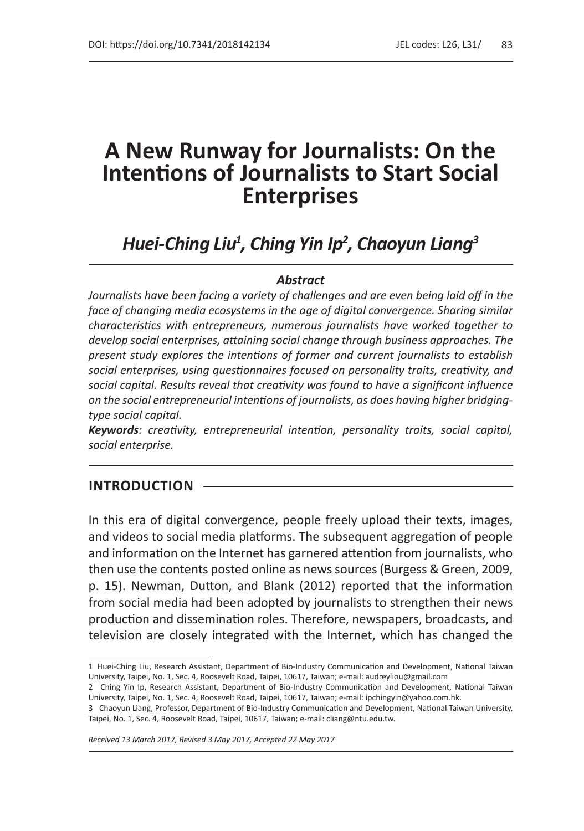# **A New Runway for Journalists: On the Intentions of Journalists to Start Social Enterprises**

# *Huei-Ching Liu1 , Ching Yin Ip<sup>2</sup> , Chaoyun Liang3*

#### *Abstract*

*Journalists have been facing a variety of challenges and are even being laid off in the*  face of changing media ecosystems in the age of digital convergence. Sharing similar *characteristics with entrepreneurs, numerous journalists have worked together to develop social enterprises, attaining social change through business approaches. The present study explores the intentions of former and current journalists to establish social enterprises, using questionnaires focused on personality traits, creativity, and social capital. Results reveal that creativity was found to have a significant influence on the social entrepreneurial intentions of journalists, as does having higher bridgingtype social capital.* 

*Keywords: creativity, entrepreneurial intention, personality traits, social capital, social enterprise.*

#### **INTRODUCTION**

In this era of digital convergence, people freely upload their texts, images, and videos to social media platforms. The subsequent aggregation of people and information on the Internet has garnered attention from journalists, who then use the contents posted online as news sources (Burgess & Green, 2009, p. 15). Newman, Dutton, and Blank (2012) reported that the information from social media had been adopted by journalists to strengthen their news production and dissemination roles. Therefore, newspapers, broadcasts, and television are closely integrated with the Internet, which has changed the

*Received 13 March 2017, Revised 3 May 2017, Accepted 22 May 2017*

<sup>1</sup> Huei-Ching Liu, Research Assistant, Department of Bio-Industry Communication and Development, National Taiwan University, Taipei, No. 1, Sec. 4, Roosevelt Road, Taipei, 10617, Taiwan; e-mail: audreyliou@gmail.com

<sup>2</sup> Ching Yin Ip, Research Assistant, Department of Bio-Industry Communication and Development, National Taiwan University, Taipei, No. 1, Sec. 4, Roosevelt Road, Taipei, 10617, Taiwan; e-mail: ipchingyin@yahoo.com.hk.

<sup>3</sup> Chaoyun Liang, Professor, Department of Bio-Industry Communication and Development, National Taiwan University, Taipei, No. 1, Sec. 4, Roosevelt Road, Taipei, 10617, Taiwan; e-mail: cliang@ntu.edu.tw.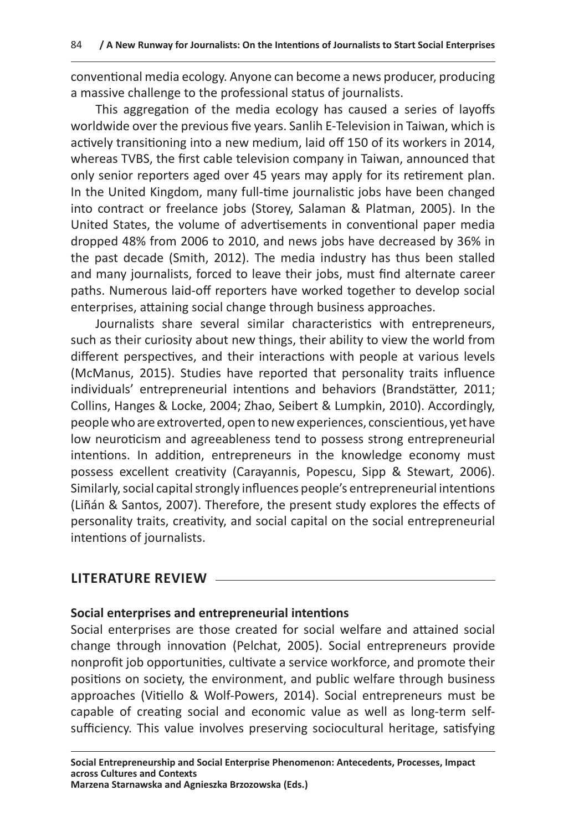conventional media ecology. Anyone can become a news producer, producing a massive challenge to the professional status of journalists.

This aggregation of the media ecology has caused a series of layoffs worldwide over the previous five years. Sanlih E-Television in Taiwan, which is actively transitioning into a new medium, laid off 150 of its workers in 2014, whereas TVBS, the first cable television company in Taiwan, announced that only senior reporters aged over 45 years may apply for its retirement plan. In the United Kingdom, many full-time journalistic jobs have been changed into contract or freelance jobs (Storey, Salaman & Platman, 2005). In the United States, the volume of advertisements in conventional paper media dropped 48% from 2006 to 2010, and news jobs have decreased by 36% in the past decade (Smith, 2012). The media industry has thus been stalled and many journalists, forced to leave their jobs, must find alternate career paths. Numerous laid-off reporters have worked together to develop social enterprises, attaining social change through business approaches.

Journalists share several similar characteristics with entrepreneurs, such as their curiosity about new things, their ability to view the world from different perspectives, and their interactions with people at various levels (McManus, 2015). Studies have reported that personality traits influence individuals' entrepreneurial intentions and behaviors (Brandstätter, 2011; Collins, Hanges & Locke, 2004; Zhao, Seibert & Lumpkin, 2010). Accordingly, people who are extroverted, open to new experiences, conscientious, yet have low neuroticism and agreeableness tend to possess strong entrepreneurial intentions. In addition, entrepreneurs in the knowledge economy must possess excellent creativity (Carayannis, Popescu, Sipp & Stewart, 2006). Similarly, social capital strongly influences people's entrepreneurial intentions (Liñán & Santos, 2007). Therefore, the present study explores the effects of personality traits, creativity, and social capital on the social entrepreneurial intentions of journalists.

# **LITERATURE REVIEW**

#### **Social enterprises and entrepreneurial intentions**

Social enterprises are those created for social welfare and attained social change through innovation (Pelchat, 2005). Social entrepreneurs provide nonprofit job opportunities, cultivate a service workforce, and promote their positions on society, the environment, and public welfare through business approaches (Vitiello & Wolf-Powers, 2014). Social entrepreneurs must be capable of creating social and economic value as well as long-term selfsufficiency. This value involves preserving sociocultural heritage, satisfying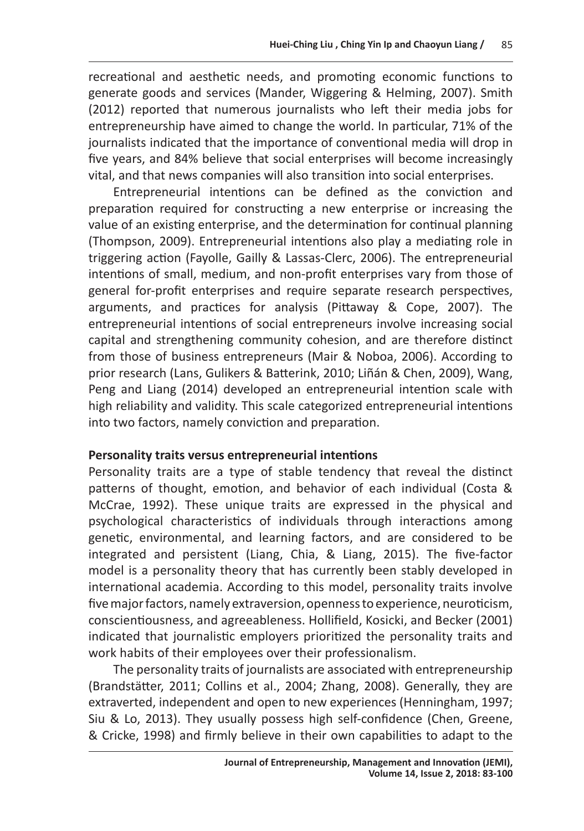recreational and aesthetic needs, and promoting economic functions to generate goods and services (Mander, Wiggering & Helming, 2007). Smith (2012) reported that numerous journalists who left their media jobs for entrepreneurship have aimed to change the world. In particular, 71% of the journalists indicated that the importance of conventional media will drop in five years, and 84% believe that social enterprises will become increasingly vital, and that news companies will also transition into social enterprises.

Entrepreneurial intentions can be defined as the conviction and preparation required for constructing a new enterprise or increasing the value of an existing enterprise, and the determination for continual planning (Thompson, 2009). Entrepreneurial intentions also play a mediating role in triggering action (Fayolle, Gailly & Lassas-Clerc, 2006). The entrepreneurial intentions of small, medium, and non-profit enterprises vary from those of general for-profit enterprises and require separate research perspectives, arguments, and practices for analysis (Pittaway & Cope, 2007). The entrepreneurial intentions of social entrepreneurs involve increasing social capital and strengthening community cohesion, and are therefore distinct from those of business entrepreneurs (Mair & Noboa, 2006). According to prior research (Lans, Gulikers & Batterink, 2010; Liñán & Chen, 2009), Wang, Peng and Liang (2014) developed an entrepreneurial intention scale with high reliability and validity. This scale categorized entrepreneurial intentions into two factors, namely conviction and preparation.

# **Personality traits versus entrepreneurial intentions**

Personality traits are a type of stable tendency that reveal the distinct patterns of thought, emotion, and behavior of each individual (Costa & McCrae, 1992). These unique traits are expressed in the physical and psychological characteristics of individuals through interactions among genetic, environmental, and learning factors, and are considered to be integrated and persistent (Liang, Chia, & Liang, 2015). The five-factor model is a personality theory that has currently been stably developed in international academia. According to this model, personality traits involve five major factors, namely extraversion, openness to experience, neuroticism, conscientiousness, and agreeableness. Hollifield, Kosicki, and Becker (2001) indicated that journalistic employers prioritized the personality traits and work habits of their employees over their professionalism.

The personality traits of journalists are associated with entrepreneurship (Brandstätter, 2011; Collins et al., 2004; Zhang, 2008). Generally, they are extraverted, independent and open to new experiences (Henningham, 1997; Siu & Lo, 2013). They usually possess high self-confidence (Chen, Greene, & Cricke, 1998) and firmly believe in their own capabilities to adapt to the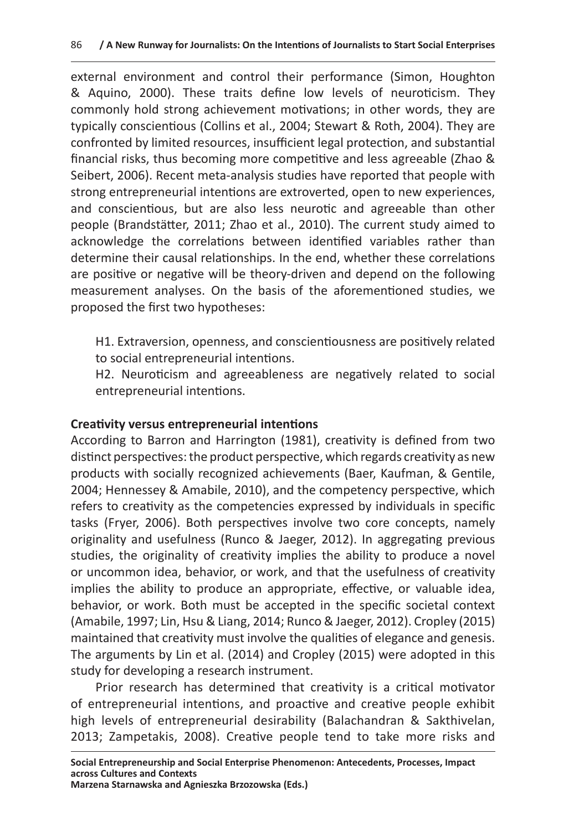external environment and control their performance (Simon, Houghton & Aquino, 2000). These traits define low levels of neuroticism. They commonly hold strong achievement motivations; in other words, they are typically conscientious (Collins et al., 2004; Stewart & Roth, 2004). They are confronted by limited resources, insufficient legal protection, and substantial financial risks, thus becoming more competitive and less agreeable (Zhao & Seibert, 2006). Recent meta-analysis studies have reported that people with strong entrepreneurial intentions are extroverted, open to new experiences, and conscientious, but are also less neurotic and agreeable than other people (Brandstätter, 2011; Zhao et al., 2010). The current study aimed to acknowledge the correlations between identified variables rather than determine their causal relationships. In the end, whether these correlations are positive or negative will be theory-driven and depend on the following measurement analyses. On the basis of the aforementioned studies, we proposed the first two hypotheses:

H1. Extraversion, openness, and conscientiousness are positively related to social entrepreneurial intentions.

H2. Neuroticism and agreeableness are negatively related to social entrepreneurial intentions.

# **Creativity versus entrepreneurial intentions**

According to Barron and Harrington (1981), creativity is defined from two distinct perspectives: the product perspective, which regards creativity as new products with socially recognized achievements (Baer, Kaufman, & Gentile, 2004; Hennessey & Amabile, 2010), and the competency perspective, which refers to creativity as the competencies expressed by individuals in specific tasks (Fryer, 2006). Both perspectives involve two core concepts, namely originality and usefulness (Runco & Jaeger, 2012). In aggregating previous studies, the originality of creativity implies the ability to produce a novel or uncommon idea, behavior, or work, and that the usefulness of creativity implies the ability to produce an appropriate, effective, or valuable idea, behavior, or work. Both must be accepted in the specific societal context (Amabile, 1997; Lin, Hsu & Liang, 2014; Runco & Jaeger, 2012). Cropley (2015) maintained that creativity must involve the qualities of elegance and genesis. The arguments by Lin et al. (2014) and Cropley (2015) were adopted in this study for developing a research instrument.

Prior research has determined that creativity is a critical motivator of entrepreneurial intentions, and proactive and creative people exhibit high levels of entrepreneurial desirability (Balachandran & Sakthivelan, 2013; Zampetakis, 2008). Creative people tend to take more risks and

**Social Entrepreneurship and Social Enterprise Phenomenon: Antecedents, Processes, Impact across Cultures and Contexts**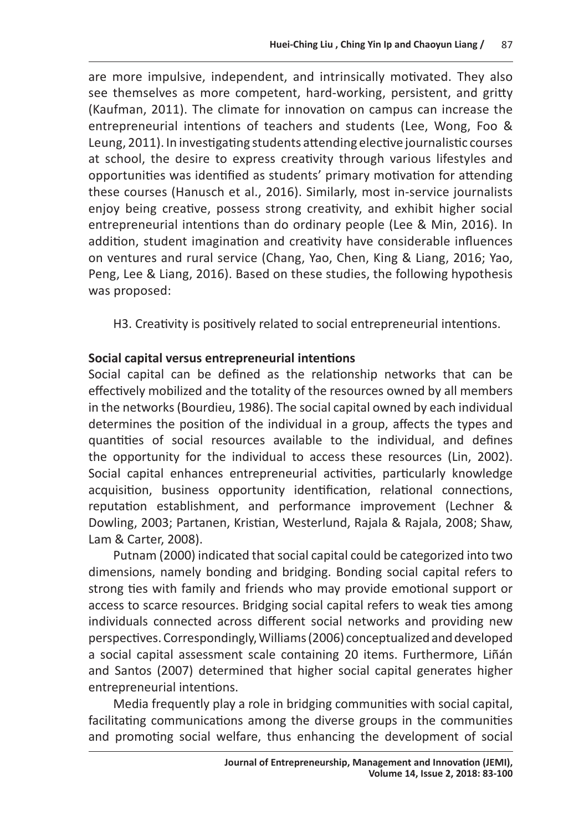are more impulsive, independent, and intrinsically motivated. They also see themselves as more competent, hard-working, persistent, and gritty (Kaufman, 2011). The climate for innovation on campus can increase the entrepreneurial intentions of teachers and students (Lee, Wong, Foo & Leung, 2011). In investigating students attending elective journalistic courses at school, the desire to express creativity through various lifestyles and opportunities was identified as students' primary motivation for attending these courses (Hanusch et al., 2016). Similarly, most in-service journalists enjoy being creative, possess strong creativity, and exhibit higher social entrepreneurial intentions than do ordinary people (Lee & Min, 2016). In addition, student imagination and creativity have considerable influences on ventures and rural service (Chang, Yao, Chen, King & Liang, 2016; Yao, Peng, Lee & Liang, 2016). Based on these studies, the following hypothesis was proposed:

H3. Creativity is positively related to social entrepreneurial intentions.

# **Social capital versus entrepreneurial intentions**

Social capital can be defined as the relationship networks that can be effectively mobilized and the totality of the resources owned by all members in the networks (Bourdieu, 1986). The social capital owned by each individual determines the position of the individual in a group, affects the types and quantities of social resources available to the individual, and defines the opportunity for the individual to access these resources (Lin, 2002). Social capital enhances entrepreneurial activities, particularly knowledge acquisition, business opportunity identification, relational connections, reputation establishment, and performance improvement (Lechner & Dowling, 2003; Partanen, Kristian, Westerlund, Rajala & Rajala, 2008; Shaw, Lam & Carter, 2008).

Putnam (2000) indicated that social capital could be categorized into two dimensions, namely bonding and bridging. Bonding social capital refers to strong ties with family and friends who may provide emotional support or access to scarce resources. Bridging social capital refers to weak ties among individuals connected across different social networks and providing new perspectives. Correspondingly, Williams (2006) conceptualized and developed a social capital assessment scale containing 20 items. Furthermore, Liñán and Santos (2007) determined that higher social capital generates higher entrepreneurial intentions.

Media frequently play a role in bridging communities with social capital, facilitating communications among the diverse groups in the communities and promoting social welfare, thus enhancing the development of social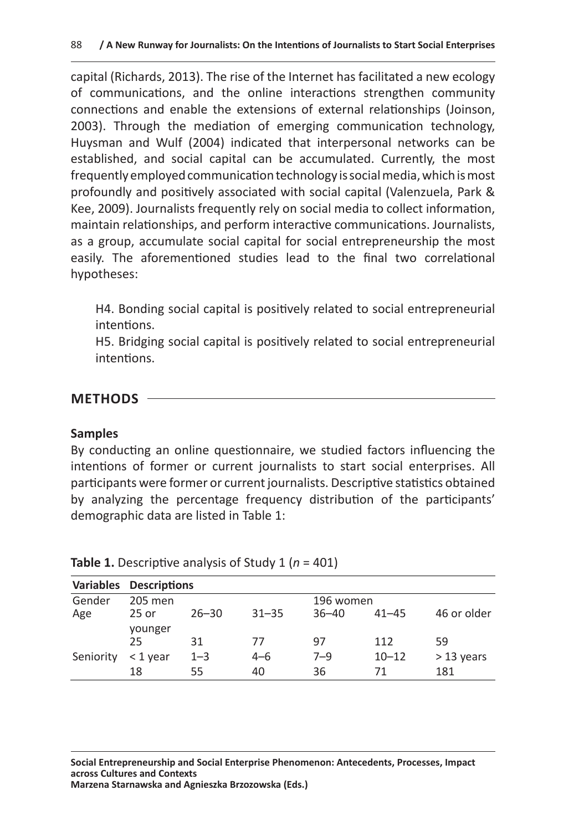capital (Richards, 2013). The rise of the Internet has facilitated a new ecology of communications, and the online interactions strengthen community connections and enable the extensions of external relationships (Joinson, 2003). Through the mediation of emerging communication technology, Huysman and Wulf (2004) indicated that interpersonal networks can be established, and social capital can be accumulated. Currently, the most frequently employed communication technology is social media, which is most profoundly and positively associated with social capital (Valenzuela, Park & Kee, 2009). Journalists frequently rely on social media to collect information, maintain relationships, and perform interactive communications. Journalists, as a group, accumulate social capital for social entrepreneurship the most easily. The aforementioned studies lead to the final two correlational hypotheses:

H4. Bonding social capital is positively related to social entrepreneurial intentions.

H5. Bridging social capital is positively related to social entrepreneurial intentions.

# **METHODS**

#### **Samples**

By conducting an online questionnaire, we studied factors influencing the intentions of former or current journalists to start social enterprises. All participants were former or current journalists. Descriptive statistics obtained by analyzing the percentage frequency distribution of the participants' demographic data are listed in Table 1:

| <b>Variables</b> | <b>Descriptions</b>  |           |           |           |           |              |  |
|------------------|----------------------|-----------|-----------|-----------|-----------|--------------|--|
| Gender           | 205 men<br>196 women |           |           |           |           |              |  |
| Age              | 25 or                | $26 - 30$ | $31 - 35$ | $36 - 40$ | $41 - 45$ | 46 or older  |  |
|                  | younger<br>25        | 31        | 77        | 97        | 112       | 59           |  |
| Seniority        | $<$ 1 year           | $1 - 3$   | $4 - 6$   | $7 - 9$   | $10 - 12$ | $>$ 13 years |  |
|                  | 18                   | 55        | 40        | 36        | 71        | 181          |  |

**Table 1.** Descriptive analysis of Study 1 (*n* = 401)

**Social Entrepreneurship and Social Enterprise Phenomenon: Antecedents, Processes, Impact across Cultures and Contexts Marzena Starnawska and Agnieszka Brzozowska (Eds.)**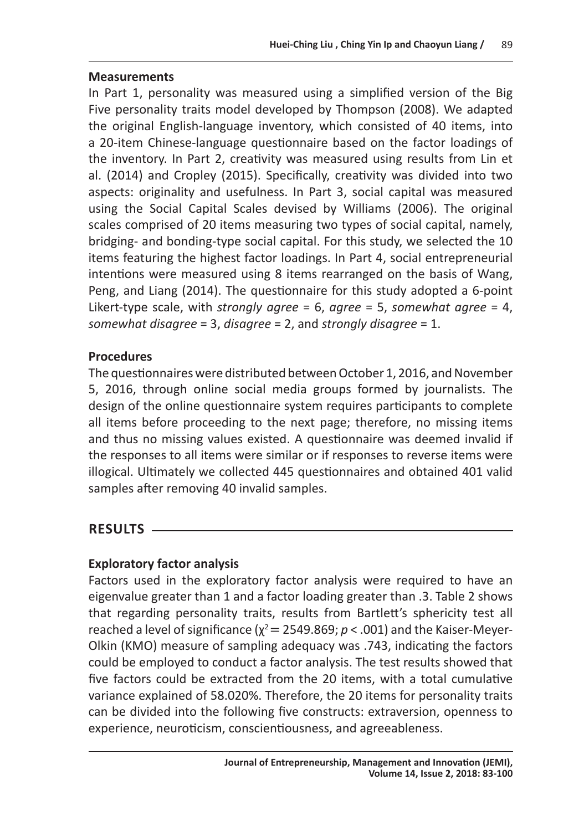#### **Measurements**

In Part 1, personality was measured using a simplified version of the Big Five personality traits model developed by Thompson (2008). We adapted the original English-language inventory, which consisted of 40 items, into a 20-item Chinese-language questionnaire based on the factor loadings of the inventory. In Part 2, creativity was measured using results from Lin et al. (2014) and Cropley (2015). Specifically, creativity was divided into two aspects: originality and usefulness. In Part 3, social capital was measured using the Social Capital Scales devised by Williams (2006). The original scales comprised of 20 items measuring two types of social capital, namely, bridging- and bonding-type social capital. For this study, we selected the 10 items featuring the highest factor loadings. In Part 4, social entrepreneurial intentions were measured using 8 items rearranged on the basis of Wang, Peng, and Liang (2014). The questionnaire for this study adopted a 6-point Likert-type scale, with *strongly agree* = 6, *agree* = 5, *somewhat agree* = 4, *somewhat disagree* = 3, *disagree* = 2, and *strongly disagree* = 1.

# **Procedures**

The questionnaires were distributed between October 1, 2016, and November 5, 2016, through online social media groups formed by journalists. The design of the online questionnaire system requires participants to complete all items before proceeding to the next page; therefore, no missing items and thus no missing values existed. A questionnaire was deemed invalid if the responses to all items were similar or if responses to reverse items were illogical. Ultimately we collected 445 questionnaires and obtained 401 valid samples after removing 40 invalid samples.

# **RESULTS**

# **Exploratory factor analysis**

Factors used in the exploratory factor analysis were required to have an eigenvalue greater than 1 and a factor loading greater than .3. Table 2 shows that regarding personality traits, results from Bartlett's sphericity test all reached a level of significance  $(\chi^2 = 2549.869; p < .001)$  and the Kaiser-Meyer-Olkin (KMO) measure of sampling adequacy was .743, indicating the factors could be employed to conduct a factor analysis. The test results showed that five factors could be extracted from the 20 items, with a total cumulative variance explained of 58.020%. Therefore, the 20 items for personality traits can be divided into the following five constructs: extraversion, openness to experience, neuroticism, conscientiousness, and agreeableness.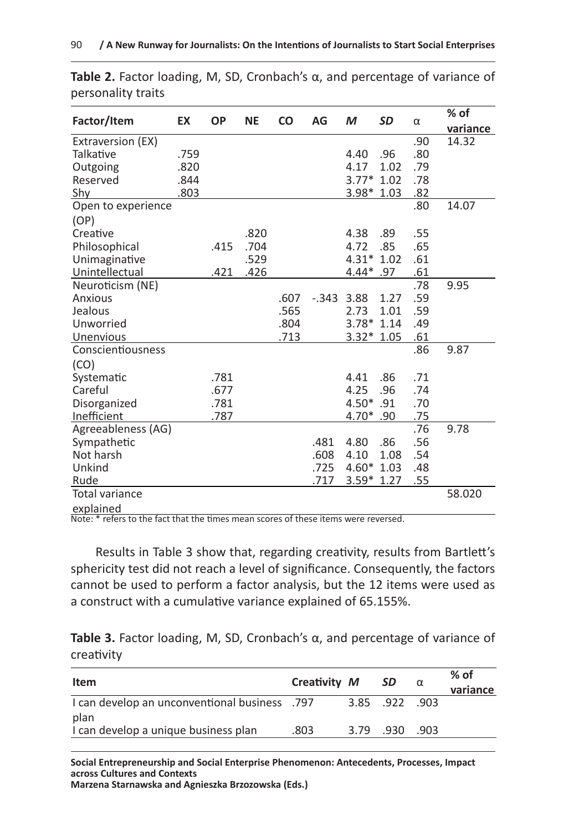|                       |      | <b>OP</b> |           | <b>CO</b> | AG            | M           | <b>SD</b> | α   | $%$ of   |
|-----------------------|------|-----------|-----------|-----------|---------------|-------------|-----------|-----|----------|
| Factor/Item           | EX   |           | <b>NE</b> |           |               |             |           |     | variance |
| Extraversion (EX)     |      |           |           |           |               |             |           | .90 | 14.32    |
| Talkative             | .759 |           |           |           |               | 4.40        | .96       | .80 |          |
| Outgoing              | .820 |           |           |           |               | 4.17        | 1.02      | .79 |          |
| Reserved              | .844 |           |           |           |               | $3.77*1.02$ |           | .78 |          |
| Shy                   | .803 |           |           |           |               | $3.98*1.03$ |           | .82 |          |
| Open to experience    |      |           |           |           |               |             |           | .80 | 14.07    |
| (OP)                  |      |           |           |           |               |             |           |     |          |
| Creative              |      |           | .820      |           |               | 4.38        | .89       | .55 |          |
| Philosophical         |      | .415      | .704      |           |               | 4.72        | .85       | .65 |          |
| Unimaginative         |      |           | .529      |           |               | $4.31*1.02$ |           | .61 |          |
| Unintellectual        |      | .421      | .426      |           |               | 4.44* .97   |           | .61 |          |
| Neuroticism (NE)      |      |           |           |           |               |             |           | .78 | 9.95     |
| Anxious               |      |           |           | .607      | $-0.343$ 3.88 |             | 1.27      | .59 |          |
| Jealous               |      |           |           | .565      |               | 2.73        | 1.01      | .59 |          |
| Unworried             |      |           |           | .804      |               | $3.78*1.14$ |           | .49 |          |
| Unenvious             |      |           |           | .713      |               | $3.32*1.05$ |           | .61 |          |
| Conscientiousness     |      |           |           |           |               |             |           | .86 | 9.87     |
| (CO)                  |      |           |           |           |               |             |           |     |          |
| Systematic            |      | .781      |           |           |               | 4.41        | .86       | .71 |          |
| Careful               |      | .677      |           |           |               | 4.25        | .96       | .74 |          |
| Disorganized          |      | .781      |           |           |               | 4.50 *.91   |           | .70 |          |
| Inefficient           |      | .787      |           |           |               | 4.70 *.90   |           | .75 |          |
| Agreeableness (AG)    |      |           |           |           |               |             |           | .76 | 9.78     |
| Sympathetic           |      |           |           |           | .481          | 4.80        | .86       | .56 |          |
| Not harsh             |      |           |           |           | .608          | 4.10        | 1.08      | .54 |          |
| Unkind                |      |           |           |           | .725          | $4.60*1.03$ |           | .48 |          |
| Rude                  |      |           |           |           | .717          | $3.59*1.27$ |           | .55 |          |
| <b>Total variance</b> |      |           |           |           |               |             |           |     | 58.020   |
| explained             |      |           |           |           |               |             |           |     |          |

**Table 2.** Factor loading, M, SD, Cronbach's α, and percentage of variance of personality traits

Note: \* refers to the fact that the times mean scores of these items were reversed.

Results in Table 3 show that, regarding creativity, results from Bartlett's sphericity test did not reach a level of significance. Consequently, the factors cannot be used to perform a factor analysis, but the 12 items were used as a construct with a cumulative variance explained of 65.155%.

**Table 3.** Factor loading, M, SD, Cronbach's α, and percentage of variance of creativity

| Item                                                  | Creativity M |          | <b>SD</b>    | $\alpha$ | $%$ of<br>variance |
|-------------------------------------------------------|--------------|----------|--------------|----------|--------------------|
| 1 Can develop an unconventional business .797<br>plan |              |          | 3.85 922 903 |          |                    |
| I can develop a unique business plan                  | .803         | 3.79 930 |              | - 903    |                    |

**Social Entrepreneurship and Social Enterprise Phenomenon: Antecedents, Processes, Impact across Cultures and Contexts**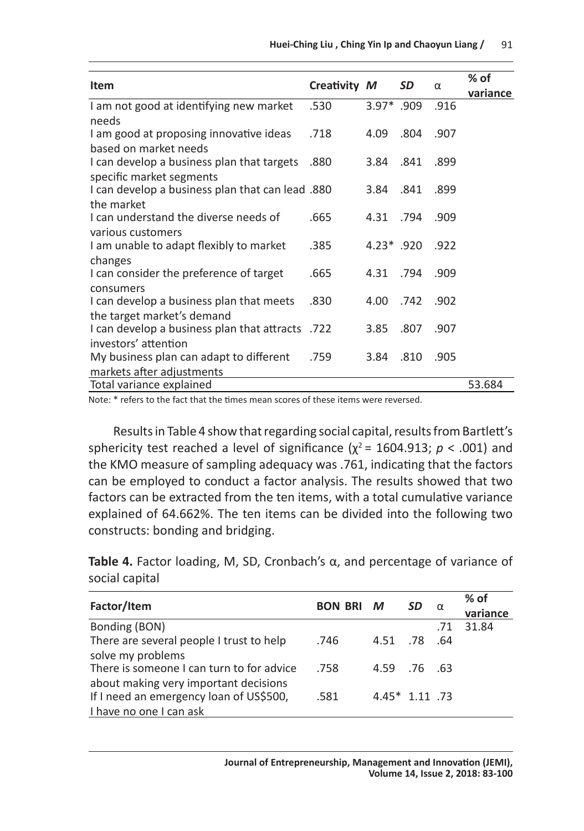|                                                  |              |               |      |      | % of     |
|--------------------------------------------------|--------------|---------------|------|------|----------|
| Item                                             | Creativity M |               | SD   | α    | variance |
| I am not good at identifying new market          | .530         | $3.97*$ .909  |      | .916 |          |
| needs                                            |              |               |      |      |          |
| I am good at proposing innovative ideas          | .718         | 4.09          | .804 | .907 |          |
| based on market needs                            |              |               |      |      |          |
| I can develop a business plan that targets       | .880         | 3.84          | .841 | .899 |          |
| specific market segments                         |              |               |      |      |          |
| 1 can develop a business plan that can lead .880 |              | 3.84          | .841 | .899 |          |
| the market                                       |              |               |      |      |          |
| I can understand the diverse needs of            | .665         | 4.31 .794     |      | .909 |          |
| various customers                                |              |               |      |      |          |
| I am unable to adapt flexibly to market          | .385         | $4.23^*$ .920 |      | .922 |          |
| changes                                          |              |               |      |      |          |
| I can consider the preference of target          | .665         | 4.31 .794     |      | .909 |          |
| consumers                                        |              |               |      |      |          |
| I can develop a business plan that meets         | .830         | 4.00 .742     |      | .902 |          |
| the target market's demand                       |              |               |      |      |          |
| 1 can develop a business plan that attracts 722  |              | 3.85          | .807 | .907 |          |
| investors' attention                             |              |               |      |      |          |
| My business plan can adapt to different          | .759         | 3.84          | .810 | .905 |          |
| markets after adjustments                        |              |               |      |      |          |
| Total variance explained                         |              |               |      |      | 53.684   |

Note: \* refers to the fact that the times mean scores of these items were reversed.

Results in Table 4 show that regarding social capital, results from Bartlett's sphericity test reached a level of significance ( $\chi^2$  = 1604.913;  $p < .001$ ) and the KMO measure of sampling adequacy was .761, indicating that the factors can be employed to conduct a factor analysis. The results showed that two factors can be extracted from the ten items, with a total cumulative variance explained of 64.662%. The ten items can be divided into the following two constructs: bonding and bridging.

**Table 4.** Factor loading, M, SD, Cronbach's α, and percentage of variance of social capital

| Factor/Item                               | <b>BON BRI M</b> |                  | SD  |     | $%$ of   |
|-------------------------------------------|------------------|------------------|-----|-----|----------|
|                                           |                  |                  | α   |     | variance |
| Bonding (BON)                             |                  |                  |     | .71 | 31.84    |
| There are several people I trust to help  | .746             | 4.51             | .78 | .64 |          |
| solve my problems                         |                  |                  |     |     |          |
| There is someone I can turn to for advice | .758             | 4.59 .76 .63     |     |     |          |
| about making very important decisions     |                  |                  |     |     |          |
| If I need an emergency loan of US\$500,   | .581             | $4.45*$ 1.11 .73 |     |     |          |
| I have no one I can ask                   |                  |                  |     |     |          |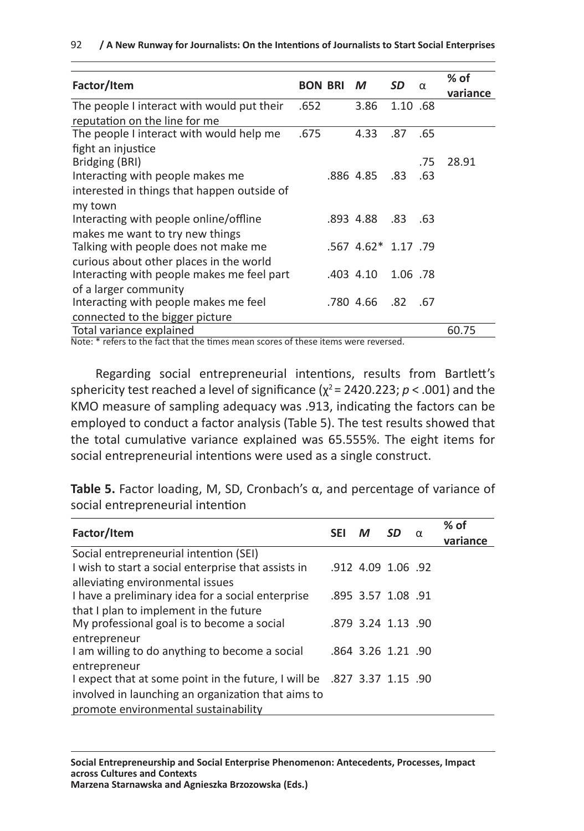|  | 92 / A New Runway for Journalists: On the Intentions of Journalists to Start Social Enterprises |  |
|--|-------------------------------------------------------------------------------------------------|--|
|--|-------------------------------------------------------------------------------------------------|--|

|                      | M                           | SD                                               | α   | % of<br>variance                            |
|----------------------|-----------------------------|--------------------------------------------------|-----|---------------------------------------------|
| .652                 | 3.86                        |                                                  |     |                                             |
|                      |                             |                                                  |     |                                             |
| .675                 | 4.33                        | .87                                              | .65 |                                             |
|                      |                             |                                                  | .75 | 28.91                                       |
|                      |                             | .83                                              | .63 |                                             |
|                      |                             |                                                  |     |                                             |
|                      |                             | .83                                              | .63 |                                             |
|                      |                             |                                                  |     |                                             |
|                      |                             |                                                  |     |                                             |
|                      |                             |                                                  |     |                                             |
|                      |                             | .82                                              | .67 |                                             |
|                      |                             |                                                  |     |                                             |
| $\sim$ $\sim$ $\sim$ |                             | $\mathbf{r}$                                     |     | 60.75                                       |
|                      | <b>BON BRI</b><br>$\ddotsc$ | .886 4.85<br>.893 4.88<br>.403 4.10<br>.780 4.66 |     | 1.10 .68<br>.567 4.62* 1.17 .79<br>1.06 .78 |

Note: \* refers to the fact that the times mean scores of these items were reversed.

Regarding social entrepreneurial intentions, results from Bartlett's sphericity test reached a level of significance ( $\chi^2$  = 2420.223; *p* < .001) and the KMO measure of sampling adequacy was .913, indicating the factors can be employed to conduct a factor analysis (Table 5). The test results showed that the total cumulative variance explained was 65.555%. The eight items for social entrepreneurial intentions were used as a single construct.

**Table 5.** Factor loading, M, SD, Cronbach's α, and percentage of variance of social entrepreneurial intention

| Factor/Item                                                                |            | M                  | <b>SD</b> | $\alpha$ | $%$ of   |
|----------------------------------------------------------------------------|------------|--------------------|-----------|----------|----------|
|                                                                            | <b>SEI</b> |                    |           |          | variance |
| Social entrepreneurial intention (SEI)                                     |            |                    |           |          |          |
| I wish to start a social enterprise that assists in                        |            | .912 4.09 1.06 .92 |           |          |          |
| alleviating environmental issues                                           |            |                    |           |          |          |
| I have a preliminary idea for a social enterprise                          |            | .895 3.57 1.08 .91 |           |          |          |
| that I plan to implement in the future                                     |            |                    |           |          |          |
| My professional goal is to become a social                                 |            | .879 3.24 1.13 .90 |           |          |          |
| entrepreneur                                                               |            |                    |           |          |          |
| I am willing to do anything to become a social                             |            | .864 3.26 1.21 .90 |           |          |          |
| entrepreneur                                                               |            |                    |           |          |          |
| 1.15 .90 expect that at some point in the future, I will be .827 3.37 1.15 |            |                    |           |          |          |
| involved in launching an organization that aims to                         |            |                    |           |          |          |
| promote environmental sustainability                                       |            |                    |           |          |          |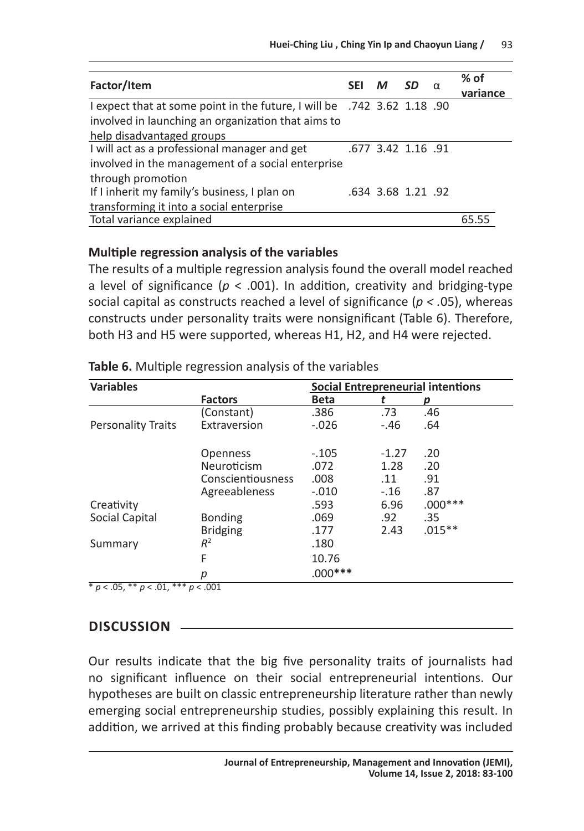| Factor/Item                                                                          | <b>SEI</b> | M | .SD                | $%$ of<br>variance |
|--------------------------------------------------------------------------------------|------------|---|--------------------|--------------------|
| 1.18 90. 742 1.18 Pexpect that at some point in the future, I will be .742 3.62 1.18 |            |   |                    |                    |
| involved in launching an organization that aims to                                   |            |   |                    |                    |
| help disadvantaged groups                                                            |            |   |                    |                    |
| I will act as a professional manager and get                                         |            |   | .677 3.42 1.16 .91 |                    |
| involved in the management of a social enterprise                                    |            |   |                    |                    |
| through promotion                                                                    |            |   |                    |                    |
| If I inherit my family's business, I plan on                                         |            |   | .634 3.68 1.21 .92 |                    |
| transforming it into a social enterprise                                             |            |   |                    |                    |
| Total variance explained                                                             |            |   |                    | 65.55              |

#### **Multiple regression analysis of the variables**

The results of a multiple regression analysis found the overall model reached a level of significance (*p* < .001). In addition, creativity and bridging-type social capital as constructs reached a level of significance (*p < .*05), whereas constructs under personality traits were nonsignificant (Table 6). Therefore, both H3 and H5 were supported, whereas H1, H2, and H4 were rejected.

| <b>Variables</b>          | <b>Social Entrepreneurial intentions</b> |             |         |           |  |  |
|---------------------------|------------------------------------------|-------------|---------|-----------|--|--|
|                           | <b>Factors</b>                           | <b>Beta</b> |         | р         |  |  |
|                           | (Constant)                               | .386        | .73     | .46       |  |  |
| <b>Personality Traits</b> | Extraversion                             | $-.026$     | $-.46$  | .64       |  |  |
|                           | <b>Openness</b>                          | $-.105$     | $-1.27$ | .20       |  |  |
|                           | Neuroticism                              | .072        | 1.28    | .20       |  |  |
|                           | Conscientiousness                        | .008        | .11     | .91       |  |  |
|                           | Agreeableness                            | $-.010$     | $-.16$  | .87       |  |  |
| Creativity                |                                          | .593        | 6.96    | $.000***$ |  |  |
| Social Capital            | <b>Bonding</b>                           | .069        | .92     | .35       |  |  |
|                           | <b>Bridging</b>                          | .177        | 2.43    | $.015**$  |  |  |
| Summary                   | $R^2$                                    | .180        |         |           |  |  |
|                           | F                                        | 10.76       |         |           |  |  |
|                           | р                                        | $.000***$   |         |           |  |  |

**Table 6.** Multiple regression analysis of the variables

\* *p* < .05, \*\* *p* < .01, \*\*\* *p* < .001

# **DISCUSSION**

Our results indicate that the big five personality traits of journalists had no significant influence on their social entrepreneurial intentions. Our hypotheses are built on classic entrepreneurship literature rather than newly emerging social entrepreneurship studies, possibly explaining this result. In addition, we arrived at this finding probably because creativity was included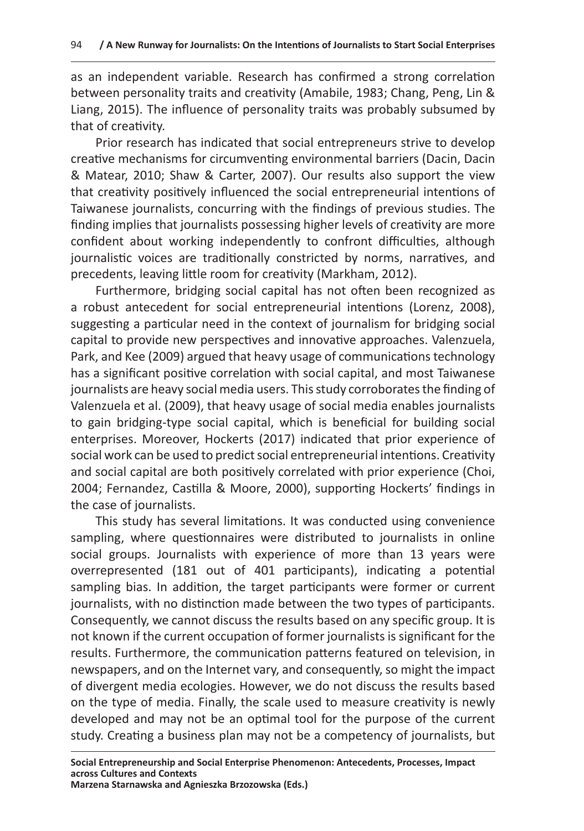as an independent variable. Research has confirmed a strong correlation between personality traits and creativity (Amabile, 1983; Chang, Peng, Lin & Liang, 2015). The influence of personality traits was probably subsumed by that of creativity.

Prior research has indicated that social entrepreneurs strive to develop creative mechanisms for circumventing environmental barriers (Dacin, Dacin & Matear, 2010; Shaw & Carter, 2007). Our results also support the view that creativity positively influenced the social entrepreneurial intentions of Taiwanese journalists, concurring with the findings of previous studies. The finding implies that journalists possessing higher levels of creativity are more confident about working independently to confront difficulties, although journalistic voices are traditionally constricted by norms, narratives, and precedents, leaving little room for creativity (Markham, 2012).

Furthermore, bridging social capital has not often been recognized as a robust antecedent for social entrepreneurial intentions (Lorenz, 2008), suggesting a particular need in the context of journalism for bridging social capital to provide new perspectives and innovative approaches. Valenzuela, Park, and Kee (2009) argued that heavy usage of communications technology has a significant positive correlation with social capital, and most Taiwanese journalists are heavy social media users. This study corroborates the finding of Valenzuela et al. (2009), that heavy usage of social media enables journalists to gain bridging-type social capital, which is beneficial for building social enterprises. Moreover, Hockerts (2017) indicated that prior experience of social work can be used to predict social entrepreneurial intentions. Creativity and social capital are both positively correlated with prior experience (Choi, 2004; Fernandez, Castilla & Moore, 2000), supporting Hockerts' findings in the case of journalists.

This study has several limitations. It was conducted using convenience sampling, where questionnaires were distributed to journalists in online social groups. Journalists with experience of more than 13 years were overrepresented (181 out of 401 participants), indicating a potential sampling bias. In addition, the target participants were former or current journalists, with no distinction made between the two types of participants. Consequently, we cannot discuss the results based on any specific group. It is not known if the current occupation of former journalists is significant for the results. Furthermore, the communication patterns featured on television, in newspapers, and on the Internet vary, and consequently, so might the impact of divergent media ecologies. However, we do not discuss the results based on the type of media. Finally, the scale used to measure creativity is newly developed and may not be an optimal tool for the purpose of the current study. Creating a business plan may not be a competency of journalists, but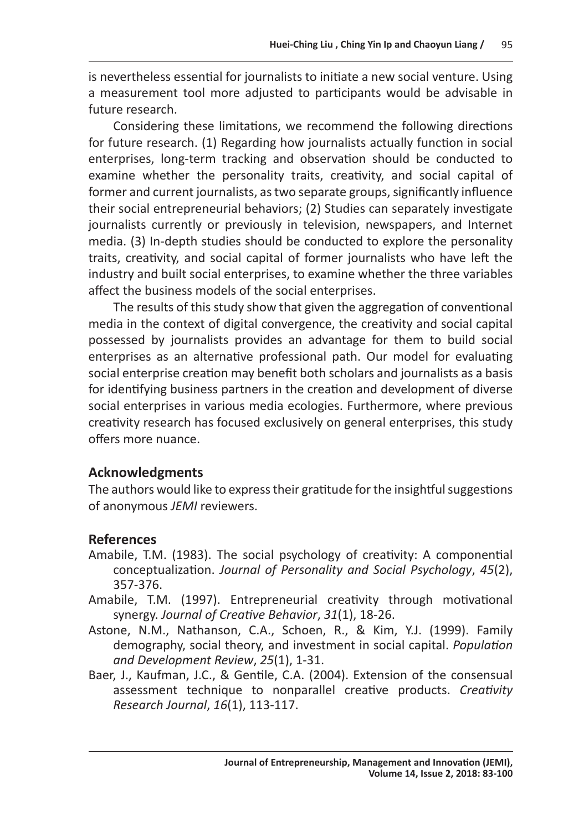is nevertheless essential for journalists to initiate a new social venture. Using a measurement tool more adjusted to participants would be advisable in future research.

Considering these limitations, we recommend the following directions for future research. (1) Regarding how journalists actually function in social enterprises, long-term tracking and observation should be conducted to examine whether the personality traits, creativity, and social capital of former and current journalists, as two separate groups, significantly influence their social entrepreneurial behaviors; (2) Studies can separately investigate journalists currently or previously in television, newspapers, and Internet media. (3) In-depth studies should be conducted to explore the personality traits, creativity, and social capital of former journalists who have left the industry and built social enterprises, to examine whether the three variables affect the business models of the social enterprises.

The results of this study show that given the aggregation of conventional media in the context of digital convergence, the creativity and social capital possessed by journalists provides an advantage for them to build social enterprises as an alternative professional path. Our model for evaluating social enterprise creation may benefit both scholars and journalists as a basis for identifying business partners in the creation and development of diverse social enterprises in various media ecologies. Furthermore, where previous creativity research has focused exclusively on general enterprises, this study offers more nuance.

# **Acknowledgments**

The authors would like to express their gratitude for the insightful suggestions of anonymous *JEMI* reviewers.

# **References**

- Amabile, T.M. (1983). The social psychology of creativity: A componential conceptualization. *Journal of Personality and Social Psychology*, *45*(2), 357-376.
- Amabile, T.M. (1997). Entrepreneurial creativity through motivational synergy. *Journal of Creative Behavior*, *31*(1), 18-26.
- Astone, N.M., Nathanson, C.A., Schoen, R., & Kim, Y.J. (1999). Family demography, social theory, and investment in social capital. *Population and Development Review*, *25*(1), 1-31.
- Baer, J., Kaufman, J.C., & Gentile, C.A. (2004). Extension of the consensual assessment technique to nonparallel creative products. *Creativity Research Journal*, *16*(1), 113-117.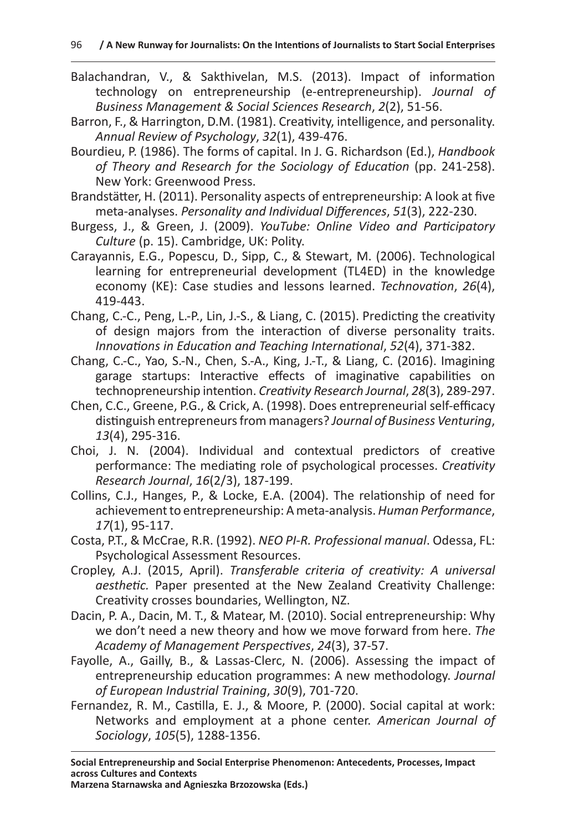- Balachandran, V., & Sakthivelan, M.S. (2013). Impact of information technology on entrepreneurship (e-entrepreneurship). *Journal of Business Management & Social Sciences Research*, *2*(2), 51-56.
- Barron, F., & Harrington, D.M. (1981). Creativity, intelligence, and personality. *Annual Review of Psychology*, *32*(1), 439-476.
- Bourdieu, P. (1986). The forms of capital. In J. G. Richardson (Ed.), *Handbook of Theory and Research for the Sociology of Education* (pp. 241-258). New York: Greenwood Press.
- Brandstätter, H. (2011). Personality aspects of entrepreneurship: A look at five meta-analyses. *Personality and Individual Differences*, *51*(3), 222-230.
- Burgess, J., & Green, J. (2009). *YouTube: Online Video and Participatory Culture* (p. 15). Cambridge, UK: Polity.
- Carayannis, E.G., Popescu, D., Sipp, C., & Stewart, M. (2006). Technological learning for entrepreneurial development (TL4ED) in the knowledge economy (KE): Case studies and lessons learned. *Technovation*, *26*(4), 419-443.
- Chang, C.-C., Peng, L.-P., Lin, J.-S., & Liang, C. (2015). Predicting the creativity of design majors from the interaction of diverse personality traits. *Innovations in Education and Teaching International*, *52*(4), 371-382.
- Chang, C.-C., Yao, S.-N., Chen, S.-A., King, J.-T., & Liang, C. (2016). Imagining garage startups: Interactive effects of imaginative capabilities on technopreneurship intention. *Creativity Research Journal*, *28*(3), 289-297.
- Chen, C.C., Greene, P.G., & Crick, A. (1998). Does entrepreneurial self-efficacy distinguish entrepreneurs from managers? *Journal of Business Venturing*, *13*(4), 295-316.
- Choi, J. N. (2004). Individual and contextual predictors of creative performance: The mediating role of psychological processes. *Creativity Research Journal*, *16*(2/3), 187-199.
- Collins, C.J., Hanges, P., & Locke, E.A. (2004). The relationship of need for achievement to entrepreneurship: Ameta-analysis. *Human Performance*, *17*(1), 95-117.
- Costa, P.T., & McCrae, R.R. (1992). *NEO PI-R. Professional manual*. Odessa, FL: Psychological Assessment Resources.
- Cropley, A.J. (2015, April). *Transferable criteria of creativity: A universal aesthetic.* Paper presented at the New Zealand Creativity Challenge: Creativity crosses boundaries, Wellington, NZ.
- Dacin, P. A., Dacin, M. T., & Matear, M. (2010). Social entrepreneurship: Why we don't need a new theory and how we move forward from here. *The Academy of Management Perspectives*, *24*(3), 37-57.
- Fayolle, A., Gailly, B., & Lassas-Clerc, N. (2006). Assessing the impact of entrepreneurship education programmes: A new methodology. *Journal of European Industrial Training*, *30*(9), 701-720.
- Fernandez, R. M., Castilla, E. J., & Moore, P. (2000). Social capital at work: Networks and employment at a phone center. *American Journal of Sociology*, *105*(5), 1288-1356.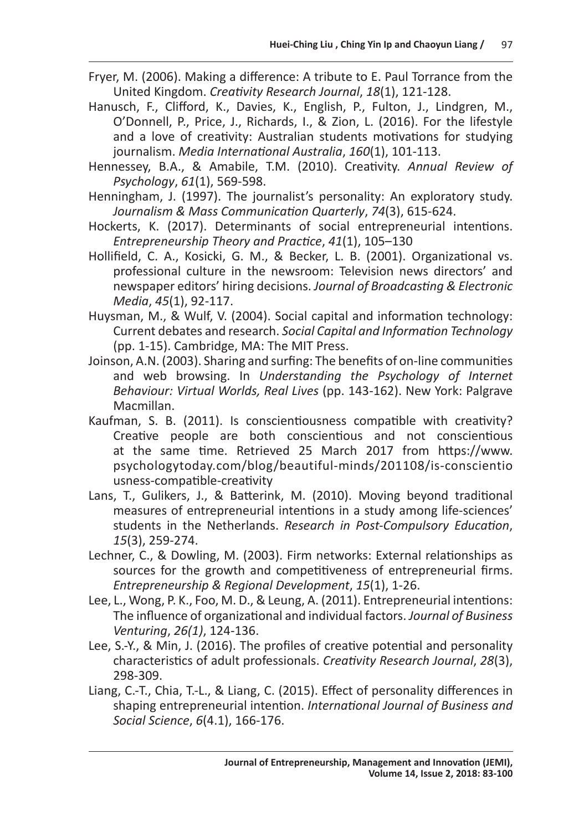- Fryer, M. (2006). Making a difference: A tribute to E. Paul Torrance from the United Kingdom. *Creativity Research Journal*, *18*(1), 121-128.
- Hanusch, F., Clifford, K., Davies, K., English, P., Fulton, J., Lindgren, M., O'Donnell, P., Price, J., Richards, I., & Zion, L. (2016). For the lifestyle and a love of creativity: Australian students motivations for studying journalism. *Media International Australia*, *160*(1), 101-113.
- Hennessey, B.A., & Amabile, T.M. (2010). Creativity. *Annual Review of Psychology*, *61*(1), 569-598.
- Henningham, J. (1997). The journalist's personality: An exploratory study. *Journalism & Mass Communication Quarterly*, *74*(3), 615-624.
- Hockerts, K. (2017). Determinants of social entrepreneurial intentions. *Entrepreneurship Theory and Practice*, *41*(1), 105–130
- Hollifield, C. A., Kosicki, G. M., & Becker, L. B. (2001). Organizational vs. professional culture in the newsroom: Television news directors' and newspaper editors' hiring decisions. *Journal of Broadcasting & Electronic Media*, *45*(1), 92-117.
- Huysman, M., & Wulf, V. (2004). Social capital and information technology: Current debates and research. *Social Capital and Information Technology* (pp. 1-15). Cambridge, MA: The MIT Press.
- Joinson, A.N. (2003). Sharing and surfing: The benefits of on-line communities and web browsing. In *Understanding the Psychology of Internet Behaviour: Virtual Worlds, Real Lives* (pp. 143-162). New York: Palgrave Macmillan.
- Kaufman, S. B. (2011). Is conscientiousness compatible with creativity? Creative people are both conscientious and not conscientious at the same time. Retrieved 25 March 2017 from https://www. psychologytoday.com/blog/beautiful-minds/201108/is-conscientio usness-compatible-creativity
- Lans, T., Gulikers, J., & Batterink, M. (2010). Moving beyond traditional measures of entrepreneurial intentions in a study among life-sciences' students in the Netherlands. *Research in Post-Compulsory Education*, *15*(3), 259-274.
- Lechner, C., & Dowling, M. (2003). Firm networks: External relationships as sources for the growth and competitiveness of entrepreneurial firms. *Entrepreneurship & Regional Development*, *15*(1), 1-26.
- Lee, L., Wong, P. K., Foo, M. D., & Leung, A. (2011). Entrepreneurial intentions: The influence of organizational and individual factors. *Journal of Business Venturing*, *26(1)*, 124-136.
- Lee, S.-Y., & Min, J. (2016). The profiles of creative potential and personality characteristics of adult professionals. *Creativity Research Journal*, *28*(3), 298-309.
- Liang, C.-T., Chia, T.-L., & Liang, C. (2015). Effect of personality differences in shaping entrepreneurial intention. *International Journal of Business and Social Science*, *6*(4.1), 166-176.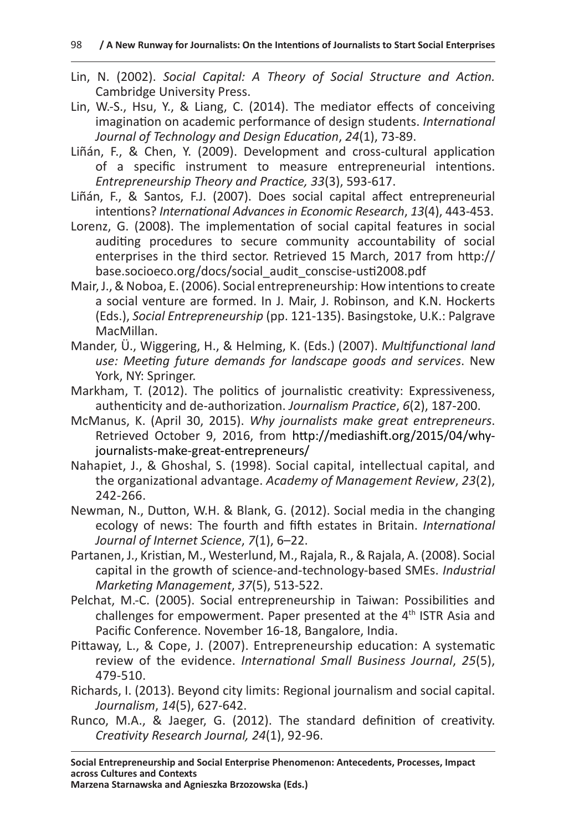- Lin, N. (2002). *Social Capital: A Theory of Social Structure and Action.*  Cambridge University Press.
- Lin, W.-S., Hsu, Y., & Liang, C. (2014). The mediator effects of conceiving imagination on academic performance of design students. *International Journal of Technology and Design Education*, *24*(1), 73-89.
- Liñán, F., & Chen, Y. (2009). Development and cross-cultural application of a specific instrument to measure entrepreneurial intentions. *Entrepreneurship Theory and Practice, 33*(3), 593-617.
- Liñán, F., & Santos, F.J. (2007). Does social capital affect entrepreneurial intentions? *International Advances in Economic Research*, *13*(4), 443-453.
- Lorenz, G. (2008). The implementation of social capital features in social auditing procedures to secure community accountability of social enterprises in the third sector. Retrieved 15 March, 2017 from http:// base.socioeco.org/docs/social\_audit\_conscise-usti2008.pdf
- Mair, J., & Noboa, E. (2006). Social entrepreneurship: How intentions to create a social venture are formed. In J. Mair, J. Robinson, and K.N. Hockerts (Eds.), *Social Entrepreneurship* (pp. 121-135). Basingstoke, U.K.: Palgrave MacMillan.
- Mander, Ü., Wiggering, H., & Helming, K. (Eds.) (2007). *Multifunctional land use: Meeting future demands for landscape goods and services*. New York, NY: Springer.
- Markham, T. (2012). The politics of journalistic creativity: Expressiveness, authenticity and de-authorization. *Journalism Practice*, *6*(2), 187-200.
- McManus, K. (April 30, 2015). *Why journalists make great entrepreneurs*. Retrieved October 9, 2016, from http://mediashift.org/2015/04/whyjournalists-make-great-entrepreneurs/
- Nahapiet, J., & Ghoshal, S. (1998). Social capital, intellectual capital, and the organizational advantage. *Academy of Management Review*, *23*(2), 242-266.
- Newman, N., Dutton, W.H. & Blank, G. (2012). Social media in the changing ecology of news: The fourth and fifth estates in Britain. *International Journal of Internet Science*, *7*(1), 6–22.
- Partanen, J., Kristian, M., Westerlund, M., Rajala, R., & Rajala, A. (2008). Social capital in the growth of science-and-technology-based SMEs. *Industrial Marketing Management*, *37*(5), 513-522.
- Pelchat, M.-C. (2005). Social entrepreneurship in Taiwan: Possibilities and challenges for empowerment. Paper presented at the 4<sup>th</sup> ISTR Asia and Pacific Conference. November 16-18, Bangalore, India.
- Pittaway, L., & Cope, J. (2007). Entrepreneurship education: A systematic review of the evidence. *International Small Business Journal*, *25*(5), 479-510.
- Richards, I. (2013). Beyond city limits: Regional journalism and social capital. *Journalism*, *14*(5), 627-642.
- Runco, M.A., & Jaeger, G. (2012). The standard definition of creativity. *Creativity Research Journal, 24*(1), 92-96.

**Social Entrepreneurship and Social Enterprise Phenomenon: Antecedents, Processes, Impact across Cultures and Contexts**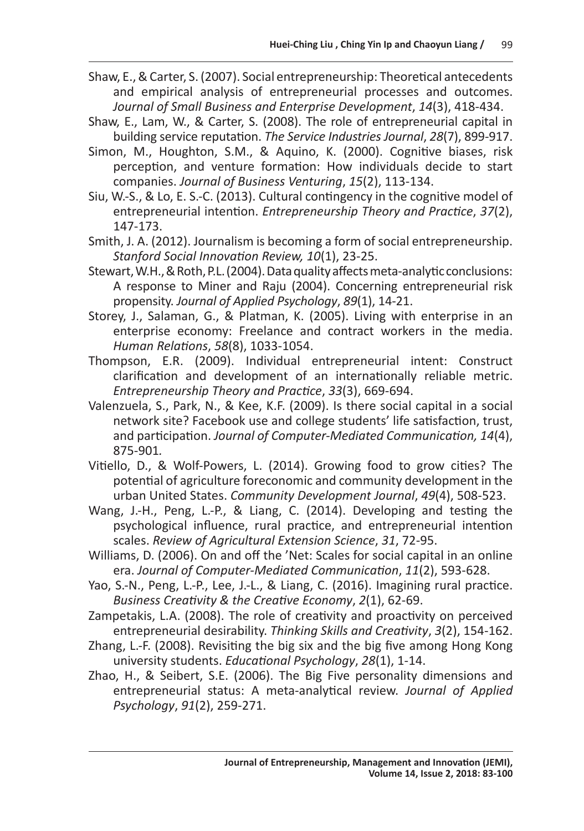- Shaw, E., & Carter, S. (2007). Social entrepreneurship: Theoretical antecedents and empirical analysis of entrepreneurial processes and outcomes. *Journal of Small Business and Enterprise Development*, *14*(3), 418-434.
- Shaw, E., Lam, W., & Carter, S. (2008). The role of entrepreneurial capital in building service reputation. *The Service Industries Journal*, *28*(7), 899-917.
- Simon, M., Houghton, S.M., & Aquino, K. (2000). Cognitive biases, risk perception, and venture formation: How individuals decide to start companies. *Journal of Business Venturing*, *15*(2), 113-134.
- Siu, W.-S., & Lo, E. S.-C. (2013). Cultural contingency in the cognitive model of entrepreneurial intention. *Entrepreneurship Theory and Practice*, *37*(2), 147-173.
- Smith, J. A. (2012). Journalism is becoming a form of social entrepreneurship. *Stanford Social Innovation Review, 10*(1), 23-25.
- Stewart, W.H., & Roth, P.L. (2004). Data quality affects meta-analytic conclusions: A response to Miner and Raju (2004). Concerning entrepreneurial risk propensity. *Journal of Applied Psychology*, *89*(1), 14-21.
- Storey, J., Salaman, G., & Platman, K. (2005). Living with enterprise in an enterprise economy: Freelance and contract workers in the media. *Human Relations*, *58*(8), 1033-1054.
- Thompson, E.R. (2009). Individual entrepreneurial intent: Construct clarification and development of an internationally reliable metric. *Entrepreneurship Theory and Practice*, *33*(3), 669-694.
- Valenzuela, S., Park, N., & Kee, K.F. (2009). Is there social capital in a social network site? Facebook use and college students' life satisfaction, trust, and participation. *Journal of Computer-Mediated Communication, 14*(4), 875-901*.*
- Vitiello, D., & Wolf-Powers, L. (2014). Growing food to grow cities? The potential of agriculture foreconomic and community development in the urban United States. *Community Development Journal*, *49*(4), 508-523.
- Wang, J.-H., Peng, L.-P., & Liang, C. (2014). Developing and testing the psychological influence, rural practice, and entrepreneurial intention scales. *Review of Agricultural Extension Science*, *31*, 72-95.
- Williams, D. (2006). On and off the 'Net: Scales for social capital in an online era. *Journal of Computer-Mediated Communication*, *11*(2), 593-628.
- Yao, S.-N., Peng, L.-P., Lee, J.-L., & Liang, C. (2016). Imagining rural practice. *Business Creativity & the Creative Economy*, *2*(1), 62-69.
- Zampetakis, L.A. (2008). The role of creativity and proactivity on perceived entrepreneurial desirability. *Thinking Skills and Creativity*, *3*(2), 154-162.
- Zhang, L.-F. (2008). Revisiting the big six and the big five among Hong Kong university students. *Educational Psychology*, *28*(1), 1-14.
- Zhao, H., & Seibert, S.E. (2006). The Big Five personality dimensions and entrepreneurial status: A meta-analytical review. *Journal of Applied Psychology*, *91*(2), 259-271.